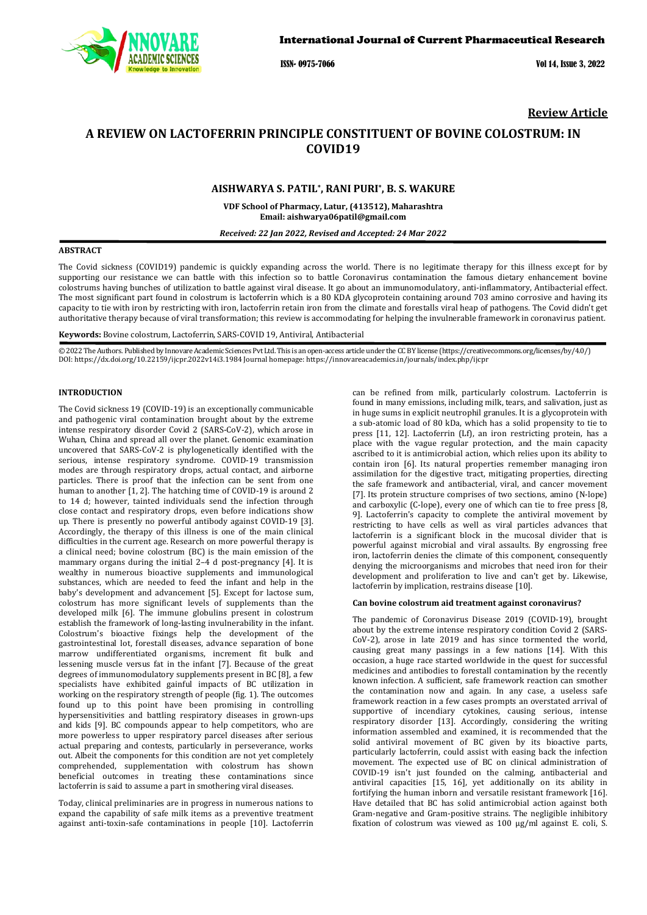

ISSN- 0975-7066 Vol 14, Issue 3, 2022

## **Review Article**

# **A REVIEW ON LACTOFERRIN PRINCIPLE CONSTITUENT OF BOVINE COLOSTRUM: IN COVID19**

### **AISHWARYA S. PATIL\*, RANI PURI\*, B. S. WAKURE**

**VDF School of Pharmacy, Latur, (413512), Maharashtra [Email: aishwarya06patil@gmail.com](mailto:Email:%20aishwarya06patil@gmail.com)**

*Received: 22 Jan 2022, Revised and Accepted: 24 Mar 2022*

#### **ABSTRACT**

The Covid sickness (COVID19) pandemic is quickly expanding across the world. There is no legitimate therapy for this illness except for by supporting our resistance we can battle with this infection so to battle Coronavirus contamination the famous dietary enhancement bovine colostrums having bunches of utilization to battle against viral disease. It go about an immunomodulatory, anti-inflammatory, Antibacterial effect. The most significant part found in colostrum is lactoferrin which is a 80 KDA glycoprotein containing around 703 amino corrosive and having its capacity to tie with iron by restricting with iron, lactoferrin retain iron from the climate and forestalls viral heap of pathogens. The Covid didn't get authoritative therapy because of viral transformation; this review is accommodating for helping the invulnerable framework in coronavirus patient.

**Keywords:** Bovine colostrum, Lactoferrin, SARS-COVID 19, Antiviral, Antibacterial

© 2022 The Authors. Published by Innovare Academic Sciences Pvt Ltd. This is an open-access article under the CC BY license [\(https://creativecommons.org/licenses/by/4.0/\)](https://creativecommons.org/licenses/by/4.0/) DOI[: https://dx.doi.org/10.22159/ijcpr.2022v14i3.1](https://dx.doi.org/10.22159/ijcpr.2022v14i3)984 Journal homepage[: https://innovareacademics.in/journals/index.php/ijcpr](https://innovareacademics.in/journals/index.php/ijcpr)

#### **INTRODUCTION**

The Covid sickness 19 (COVID-19) is an exceptionally communicable and pathogenic viral contamination brought about by the extreme intense respiratory disorder Covid 2 (SARS-CoV-2), which arose in Wuhan, China and spread all over the planet. Genomic examination uncovered that SARS-CoV-2 is phylogenetically identified with the serious, intense respiratory syndrome. COVID-19 transmission modes are through respiratory drops, actual contact, and airborne particles. There is proof that the infection can be sent from one human to another [1, 2]. The hatching time of COVID-19 is around 2 to 14 d; however, tainted individuals send the infection through close contact and respiratory drops, even before indications show up. There is presently no powerful antibody against COVID-19 [3]. Accordingly, the therapy of this illness is one of the main clinical difficulties in the current age. Research on more powerful therapy is a clinical need; bovine colostrum (BC) is the main emission of the mammary organs during the initial 2–4 d post-pregnancy [4]. It is wealthy in numerous bioactive supplements and immunological substances, which are needed to feed the infant and help in the baby's development and advancement [5]. Except for lactose sum, colostrum has more significant levels of supplements than the developed milk [6]. The immune globulins present in colostrum establish the framework of long-lasting invulnerability in the infant. Colostrum's bioactive fixings help the development of the gastrointestinal lot, forestall diseases, advance separation of bone marrow undifferentiated organisms, increment fit bulk and lessening muscle versus fat in the infant [7]. Because of the great degrees of immunomodulatory supplements present in BC [8], a few specialists have exhibited gainful impacts of BC utilization in working on the respiratory strength of people (fig. 1). The outcomes found up to this point have been promising in controlling hypersensitivities and battling respiratory diseases in grown-ups and kids [9]. BC compounds appear to help competitors, who are more powerless to upper respiratory parcel diseases after serious actual preparing and contests, particularly in perseverance, works out. Albeit the components for this condition are not yet completely comprehended, supplementation with colostrum has shown beneficial outcomes in treating these contaminations since lactoferrin is said to assume a part in smothering viral diseases.

Today, clinical preliminaries are in progress in numerous nations to expand the capability of safe milk items as a preventive treatment against anti-toxin-safe contaminations in people [10]. Lactoferrin

can be refined from milk, particularly colostrum. Lactoferrin is found in many emissions, including milk, tears, and salivation, just as in huge sums in explicit neutrophil granules. It is a glycoprotein with a sub-atomic load of 80 kDa, which has a solid propensity to tie to press [11, 12]. Lactoferrin (Lf), an iron restricting protein, has a place with the vague regular protection, and the main capacity ascribed to it is antimicrobial action, which relies upon its ability to contain iron [6]. Its natural properties remember managing iron assimilation for the digestive tract, mitigating properties, directing the safe framework and antibacterial, viral, and cancer movement [7]. Its protein structure comprises of two sections, amino (N-lope) and carboxylic (C-lope), every one of which can tie to free press [8, 9]. Lactoferrin's capacity to complete the antiviral movement by restricting to have cells as well as viral particles advances that lactoferrin is a significant block in the mucosal divider that is powerful against microbial and viral assaults. By engrossing free iron, lactoferrin denies the climate of this component, consequently denying the microorganisms and microbes that need iron for their development and proliferation to live and can't get by. Likewise, lactoferrin by implication, restrains disease [10].

### **Can bovine colostrum aid treatment against coronavirus?**

The pandemic of Coronavirus Disease 2019 (COVID-19), brought about by the extreme intense respiratory condition Covid 2 (SARS-CoV-2), arose in late 2019 and has since tormented the world, causing great many passings in a few nations [14]. With this occasion, a huge race started worldwide in the quest for successful medicines and antibodies to forestall contamination by the recently known infection. A sufficient, safe framework reaction can smother the contamination now and again. In any case, a useless safe framework reaction in a few cases prompts an overstated arrival of supportive of incendiary cytokines, causing serious, intense respiratory disorder [13]. Accordingly, considering the writing information assembled and examined, it is recommended that the solid antiviral movement of BC given by its bioactive parts, particularly lactoferrin, could assist with easing back the infection movement. The expected use of BC on clinical administration of COVID-19 isn't just founded on the calming, antibacterial and antiviral capacities [15, 16], yet additionally on its ability in fortifying the human inborn and versatile resistant framework [16]. Have detailed that BC has solid antimicrobial action against both Gram-negative and Gram-positive strains. The negligible inhibitory fixation of colostrum was viewed as 100 μg/ml against E. coli, S.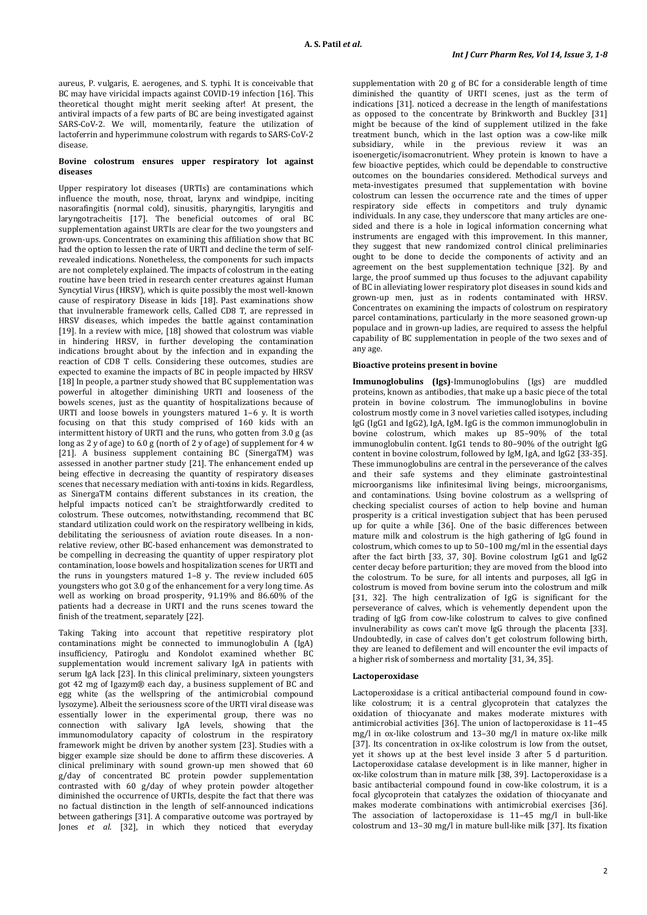aureus, P. vulgaris, E. aerogenes, and S. typhi. It is conceivable that BC may have viricidal impacts against COVID-19 infection [16]. This theoretical thought might merit seeking after! At present, the antiviral impacts of a few parts of BC are being investigated against SARS-CoV-2. We will, momentarily, feature the utilization of lactoferrin and hyperimmune colostrum with regards to SARS-CoV-2 disease.

### **Bovine colostrum ensures upper respiratory lot against diseases**

Upper respiratory lot diseases (URTIs) are contaminations which influence the mouth, nose, throat, larynx and windpipe, inciting nasorafingitis (normal cold), sinusitis, pharyngitis, laryngitis and laryngotracheitis [17]. The beneficial outcomes of oral BC supplementation against URTIs are clear for the two youngsters and grown-ups. Concentrates on examining this affiliation show that BC had the option to lessen the rate of URTI and decline the term of selfrevealed indications. Nonetheless, the components for such impacts are not completely explained. The impacts of colostrum in the eating routine have been tried in research center creatures against Human Syncytial Virus (HRSV), which is quite possibly the most well-known cause of respiratory Disease in kids [18]. Past examinations show that invulnerable framework cells, Called CD8 T, are repressed in HRSV diseases, which impedes the battle against contamination [19]. In a review with mice, [18] showed that colostrum was viable in hindering HRSV, in further developing the contamination indications brought about by the infection and in expanding the reaction of CD8 T cells. Considering these outcomes, studies are expected to examine the impacts of BC in people impacted by HRSV [18] In people, a partner study showed that BC supplementation was powerful in altogether diminishing URTI and looseness of the bowels scenes, just as the quantity of hospitalizations because of URTI and loose bowels in youngsters matured 1–6 y. It is worth focusing on that this study comprised of 160 kids with an intermittent history of URTI and the runs, who gotten from 3.0 g (as long as 2 y of age) to 6.0 g (north of 2 y of age) of supplement for 4 w [21]. A business supplement containing BC (SinergaTM) was assessed in another partner study [21]. The enhancement ended up being effective in decreasing the quantity of respiratory diseases scenes that necessary mediation with anti-toxins in kids. Regardless, as SinergaTM contains different substances in its creation, the helpful impacts noticed can't be straightforwardly credited to colostrum. These outcomes, notwithstanding, recommend that BC standard utilization could work on the respiratory wellbeing in kids, debilitating the seriousness of aviation route diseases. In a nonrelative review, other BC-based enhancement was demonstrated to be compelling in decreasing the quantity of upper respiratory plot contamination, loose bowels and hospitalization scenes for URTI and the runs in youngsters matured 1–8 y. The review included 605 youngsters who got 3.0 g of the enhancement for a very long time. As well as working on broad prosperity, 91.19% and 86.60% of the patients had a decrease in URTI and the runs scenes toward the finish of the treatment, separately [22].

Taking Taking into account that repetitive respiratory plot contaminations might be connected to immunoglobulin A (IgA) insufficiency, Patiroglu and Kondolot examined whether BC supplementation would increment salivary IgA in patients with serum IgA lack [23]. In this clinical preliminary, sixteen youngsters got 42 mg of Igazym® each day, a business supplement of BC and egg white (as the wellspring of the antimicrobial compound lysozyme). Albeit the seriousness score of the URTI viral disease was essentially lower in the experimental group, there was no connection with salivary IgA levels, showing that the immunomodulatory capacity of colostrum in the respiratory framework might be driven by another system [23]. Studies with a bigger example size should be done to affirm these discoveries. A clinical preliminary with sound grown-up men showed that 60 g/day of concentrated BC protein powder supplementation contrasted with 60 g/day of whey protein powder altogether diminished the occurrence of URTIs, despite the fact that there was no factual distinction in the length of self-announced indications between gatherings [31]. A comparative outcome was portrayed by Jones *et al.* [32], in which they noticed that everyday

supplementation with 20 g of BC for a considerable length of time diminished the quantity of URTI scenes, just as the term of indications [31]. noticed a decrease in the length of manifestations as opposed to the concentrate by Brinkworth and Buckley [31] might be because of the kind of supplement utilized in the fake treatment bunch, which in the last option was a cow-like milk subsidiary, while in the previous review it was an isoenergetic/isomacronutrient. Whey protein is known to have a few bioactive peptides, which could be dependable to constructive outcomes on the boundaries considered. Methodical surveys and meta-investigates presumed that supplementation with bovine colostrum can lessen the occurrence rate and the times of upper respiratory side effects in competitors and truly dynamic individuals. In any case, they underscore that many articles are onesided and there is a hole in logical information concerning what instruments are engaged with this improvement. In this manner, they suggest that new randomized control clinical preliminaries ought to be done to decide the components of activity and an agreement on the best supplementation technique [32]. By and large, the proof summed up thus focuses to the adjuvant capability of BC in alleviating lower respiratory plot diseases in sound kids and grown-up men, just as in rodents contaminated with HRSV. Concentrates on examining the impacts of colostrum on respiratory parcel contaminations, particularly in the more seasoned grown-up populace and in grown-up ladies, are required to assess the helpful capability of BC supplementation in people of the two sexes and of any age.

### **Bioactive proteins present in bovine**

**Immunoglobulins (Igs)**-Immunoglobulins (Igs) are muddled proteins, known as antibodies, that make up a basic piece of the total protein in bovine colostrum. The immunoglobulins in bovine colostrum mostly come in 3 novel varieties called isotypes, including IgG (IgG1 and IgG2), IgA, IgM. IgG is the common immunoglobulin in bovine colostrum, which makes up 85–90% of the total immunoglobulin content. IgG1 tends to 80–90% of the outright IgG content in bovine colostrum, followed by IgM, IgA, and IgG2 [33-35]. These immunoglobulins are central in the perseverance of the calves and their safe systems and they eliminate gastrointestinal microorganisms like infinitesimal living beings, microorganisms, and contaminations. Using bovine colostrum as a wellspring of checking specialist courses of action to help bovine and human prosperity is a critical investigation subject that has been perused up for quite a while [36]. One of the basic differences between mature milk and colostrum is the high gathering of IgG found in colostrum, which comes to up to 50–100 mg/ml in the essential days after the fact birth [33, 37, 30]. Bovine colostrum IgG1 and IgG2 center decay before parturition; they are moved from the blood into the colostrum. To be sure, for all intents and purposes, all IgG in colostrum is moved from bovine serum into the colostrum and milk [31, 32]. The high centralization of IgG is significant for the perseverance of calves, which is vehemently dependent upon the trading of IgG from cow-like colostrum to calves to give confined invulnerability as cows can't move IgG through the placenta [33]. Undoubtedly, in case of calves don't get colostrum following birth, they are leaned to defilement and will encounter the evil impacts of a higher risk of somberness and mortality [31, 34, 35].

### **Lactoperoxidase**

Lactoperoxidase is a critical antibacterial compound found in cowlike colostrum; it is a central glycoprotein that catalyzes the oxidation of thiocyanate and makes moderate mixtures with antimicrobial activities [36]. The union of lactoperoxidase is 11–45 mg/l in ox-like colostrum and 13–30 mg/l in mature ox-like milk [37]. Its concentration in ox-like colostrum is low from the outset, yet it shows up at the best level inside 3 after 5 d parturition. Lactoperoxidase catalase development is in like manner, higher in ox-like colostrum than in mature milk [38, 39]. Lactoperoxidase is a basic antibacterial compound found in cow-like colostrum, it is a focal glycoprotein that catalyzes the oxidation of thiocyanate and makes moderate combinations with antimicrobial exercises [36]. The association of lactoperoxidase is 11-45 mg/l in bull-like colostrum and 13–30 mg/l in mature bull-like milk [37]. Its fixation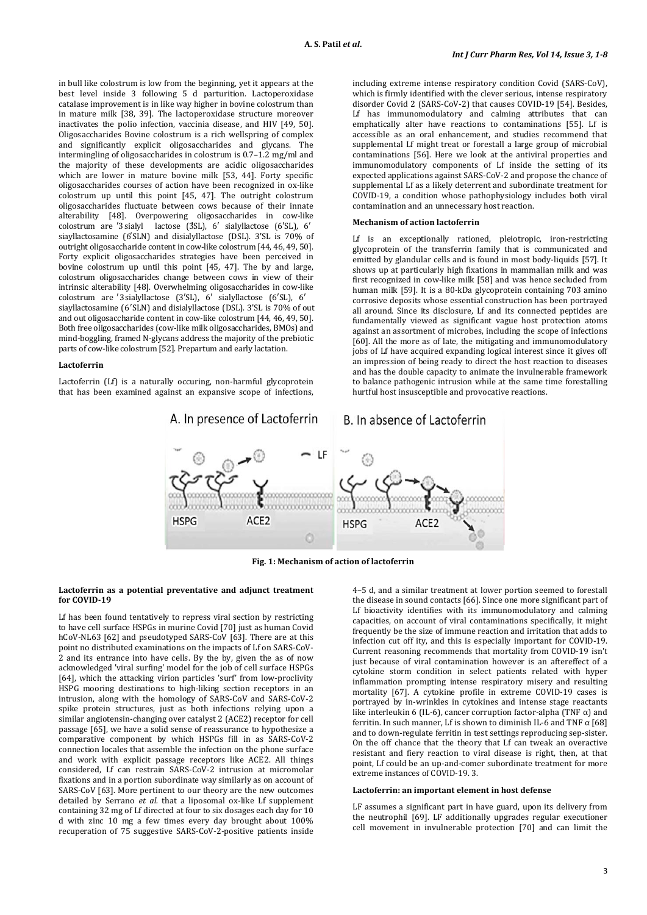in bull like colostrum is low from the beginning, yet it appears at the best level inside 3 following 5 d parturition. Lactoperoxidase catalase improvement is in like way higher in bovine colostrum than in mature milk [38, 39]. The lactoperoxidase structure moreover inactivates the polio infection, vaccinia disease, and HIV [49, 50]. Oligosaccharides Bovine colostrum is a rich wellspring of complex and significantly explicit oligosaccharides and glycans. The intermingling of oligosaccharides in colostrum is 0.7–1.2 mg/ml and the majority of these developments are acidic oligosaccharides which are lower in mature bovine milk [53, 44]. Forty specific oligosaccharides courses of action have been recognized in ox-like colostrum up until this point [45, 47]. The outright colostrum oligosaccharides fluctuate between cows because of their innate alterability [48]. Overpowering oligosaccharides in cow-like colostrum are '3 sialyl lactose (3SL), 6' sialyllactose (6'SL), 6' siayllactosamine (6′SLN) and disialyllactose (DSL). 3'SL is 70% of outright oligosaccharide content in cow-like colostrum [44, 46, 49, 50]. Forty explicit oligosaccharides strategies have been perceived in bovine colostrum up until this point [45, 47]. The by and large, colostrum oligosaccharides change between cows in view of their intrinsic alterability [48]. Overwhelming oligosaccharides in cow-like colostrum are 3′ sialyllactose (3′SL), 6′ sialyllactose (6′SL), 6′ siayllactosamine (6′SLN) and disialyllactose (DSL). 3'SL is 70% of out and out oligosaccharide content in cow-like colostrum [44, 46, 49, 50]. Both free oligosaccharides (cow-like milk oligosaccharides, BMOs) and mind-boggling, framed N-glycans address the majority of the prebiotic parts of cow-like colostrum [52]. Prepartum and early lactation.

#### **Lactoferrin**

Lactoferrin (Lf) is a naturally occuring, non-harmful glycoprotein that has been examined against an expansive scope of infections, including extreme intense respiratory condition Covid (SARS-CoV), which is firmly identified with the clever serious, intense respiratory disorder Covid 2 (SARS-CoV-2) that causes COVID-19 [54]. Besides, Lf has immunomodulatory and calming attributes that can emphatically alter have reactions to contaminations [55]. Lf is accessible as an oral enhancement, and studies recommend that supplemental Lf might treat or forestall a large group of microbial contaminations [56]. Here we look at the antiviral properties and immunomodulatory components of Lf inside the setting of its expected applications against SARS-CoV-2 and propose the chance of supplemental Lf as a likely deterrent and subordinate treatment for COVID-19, a condition whose pathophysiology includes both viral contamination and an unnecessary host reaction.

### **Mechanism of action lactoferrin**

Lf is an exceptionally rationed, pleiotropic, iron-restricting glycoprotein of the transferrin family that is communicated and emitted by glandular cells and is found in most body-liquids [57]. It shows up at particularly high fixations in mammalian milk and was first recognized in cow-like milk [58] and was hence secluded from human milk [59]. It is a 80-kDa glycoprotein containing 703 amino corrosive deposits whose essential construction has been portrayed all around. Since its disclosure, Lf and its connected peptides are fundamentally viewed as significant vague host protection atoms against an assortment of microbes, including the scope of infections [60]. All the more as of late, the mitigating and immunomodulatory jobs of Lf have acquired expanding logical interest since it gives off an impression of being ready to direct the host reaction to diseases and has the double capacity to animate the invulnerable framework to balance pathogenic intrusion while at the same time forestalling hurtful host insusceptible and provocative reactions.



**Fig. 1: Mechanism of action of lactoferrin**

#### **Lactoferrin as a potential preventative and adjunct treatment for COVID-19**

Lf has been found tentatively to repress viral section by restricting to have cell surface HSPGs in murine Covid [70] just as human Covid hCoV-NL63 [62] and pseudotyped SARS-CoV [63]. There are at this point no distributed examinations on the impacts of Lf on SARS-CoV-2 and its entrance into have cells. By the by, given the as of now acknowledged 'viral surfing' model for the job of cell surface HSPGs [64], which the attacking virion particles 'surf' from low-proclivity HSPG mooring destinations to high-liking section receptors in an intrusion, along with the homology of SARS-CoV and SARS-CoV-2 spike protein structures, just as both infections relying upon a similar angiotensin-changing over catalyst 2 (ACE2) receptor for cell passage [65], we have a solid sense of reassurance to hypothesize a comparative component by which HSPGs fill in as SARS-CoV-2 connection locales that assemble the infection on the phone surface and work with explicit passage receptors like ACE2. All things considered, Lf can restrain SARS-CoV-2 intrusion at micromolar fixations and in a portion subordinate way similarly as on account of SARS-CoV [63]. More pertinent to our theory are the new outcomes detailed by Serrano *et al.* that a liposomal ox-like Lf supplement containing 32 mg of Lf directed at four to six dosages each day for 10 d with zinc 10 mg a few times every day brought about 100% recuperation of 75 suggestive SARS-CoV-2-positive patients inside

4–5 d, and a similar treatment at lower portion seemed to forestall the disease in sound contacts [66]. Since one more significant part of Lf bioactivity identifies with its immunomodulatory and calming capacities, on account of viral contaminations specifically, it might frequently be the size of immune reaction and irritation that adds to infection cut off ity, and this is especially important for COVID-19. Current reasoning recommends that mortality from COVID-19 isn't just because of viral contamination however is an aftereffect of a cytokine storm condition in select patients related with hyper inflammation prompting intense respiratory misery and resulting mortality [67]. A cytokine profile in extreme COVID-19 cases is portrayed by in-wrinkles in cytokines and intense stage reactants like interleukin 6 (IL-6), cancer corruption factor-alpha (TNF  $α$ ) and ferritin. In such manner, Lf is shown to diminish IL-6 and TNF  $\alpha$  [68] and to down-regulate ferritin in test settings reproducing sep-sister. On the off chance that the theory that Lf can tweak an overactive resistant and fiery reaction to viral disease is right, then, at that point, Lf could be an up-and-comer subordinate treatment for more extreme instances of COVID-19. 3.

### **Lactoferrin: an important element in host defense**

LF assumes a significant part in have guard, upon its delivery from the neutrophil [69]. LF additionally upgrades regular executioner cell movement in invulnerable protection [70] and can limit the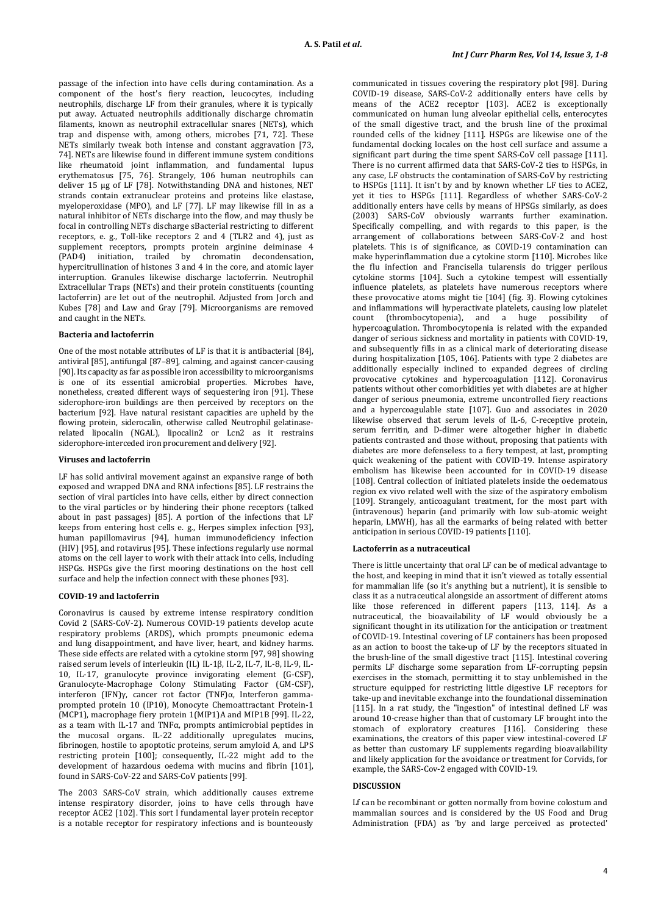passage of the infection into have cells during contamination. As a component of the host's fiery reaction, leucocytes, including neutrophils, discharge LF from their granules, where it is typically put away. Actuated neutrophils additionally discharge chromatin filaments, known as neutrophil extracellular snares (NETs), which trap and dispense with, among others, microbes [71, 72]. These NETs similarly tweak both intense and constant aggravation [73, 74]. NETs are likewise found in different immune system conditions like rheumatoid joint inflammation, and fundamental lupus erythematosus [75, 76]. Strangely, 106 human neutrophils can deliver 15 μg of LF [78]. Notwithstanding DNA and histones, NET strands contain extranuclear proteins and proteins like elastase, myeloperoxidase (MPO), and LF [77]. LF may likewise fill in as a natural inhibitor of NETs discharge into the flow, and may thusly be focal in controlling NETs discharge sBacterial restricting to different receptors, e. g., Toll-like receptors 2 and 4 (TLR2 and 4), just as supplement receptors, prompts protein arginine deiminase 4 (PAD4) initiation, trailed by chromatin decondensation, hypercitrullination of histones 3 and 4 in the core, and atomic layer interruption. Granules likewise discharge lactoferrin. Neutrophil Extracellular Traps (NETs) and their protein constituents (counting lactoferrin) are let out of the neutrophil. Adjusted from Jorch and Kubes [78] and Law and Gray [79]. Microorganisms are removed and caught in the NETs.

#### **Bacteria and lactoferrin**

One of the most notable attributes of LF is that it is antibacterial [84], antiviral [85], antifungal [87–89], calming, and against cancer-causing [90]. Its capacity as far as possible iron accessibility to microorganisms is one of its essential amicrobial properties. Microbes have, nonetheless, created different ways of sequestering iron [91]. These siderophore-iron buildings are then perceived by receptors on the bacterium [92]. Have natural resistant capacities are upheld by the flowing protein, siderocalin, otherwise called Neutrophil gelatinaserelated lipocalin (NGAL), lipocalin2 or Lcn2 as it restrains siderophore-interceded iron procurement and delivery [92].

#### **Viruses and lactoferrin**

LF has solid antiviral movement against an expansive range of both exposed and wrapped DNA and RNA infections [85]. LF restrains the section of viral particles into have cells, either by direct connection to the viral particles or by hindering their phone receptors (talked about in past passages) [85]. A portion of the infections that LF keeps from entering host cells e. g., Herpes simplex infection [93], human papillomavirus [94], human immunodeficiency infection (HIV) [95], and rotavirus [95]. These infections regularly use normal atoms on the cell layer to work with their attack into cells, including HSPGs. HSPGs give the first mooring destinations on the host cell surface and help the infection connect with these phones [93].

#### **COVID-19 and lactoferrin**

Coronavirus is caused by extreme intense respiratory condition Covid 2 (SARS-CoV-2). Numerous COVID-19 patients develop acute respiratory problems (ARDS), which prompts pneumonic edema and lung disappointment, and have liver, heart, and kidney harms. These side effects are related with a cytokine storm [97, 98] showing raised serum levels of interleukin (IL) IL-1β, IL-2, IL-7, IL-8, IL-9, IL-10, IL-17, granulocyte province invigorating element (G-CSF), Granulocyte-Macrophage Colony Stimulating Factor (GM-CSF), interferon (IFN)γ, cancer rot factor (TNF)α, Interferon gammaprompted protein 10 (IP10), Monocyte Chemoattractant Protein-1 (MCP1), macrophage fiery protein 1(MIP1)A and MIP1B [99]. IL-22, as a team with IL-17 and TNFα, prompts antimicrobial peptides in the mucosal organs. IL-22 additionally upregulates mucins, fibrinogen, hostile to apoptotic proteins, serum amyloid A, and LPS restricting protein [100]; consequently, IL-22 might add to the development of hazardous oedema with mucins and fibrin [101], found in SARS-CoV-22 and SARS-CoV patients [99].

The 2003 SARS-CoV strain, which additionally causes extreme intense respiratory disorder, joins to have cells through have receptor ACE2 [102]. This sort I fundamental layer protein receptor is a notable receptor for respiratory infections and is bounteously

communicated in tissues covering the respiratory plot [98]. During COVID-19 disease, SARS-CoV-2 additionally enters have cells by means of the ACE2 receptor [103]. ACE2 is exceptionally communicated on human lung alveolar epithelial cells, enterocytes of the small digestive tract, and the brush line of the proximal rounded cells of the kidney [111]. HSPGs are likewise one of the fundamental docking locales on the host cell surface and assume a significant part during the time spent SARS-CoV cell passage [111]. There is no current affirmed data that SARS-CoV-2 ties to HSPGs, in any case, LF obstructs the contamination of SARS-CoV by restricting to HSPGs [111]. It isn't by and by known whether LF ties to ACE2, yet it ties to HSPGs [111]. Regardless of whether SARS-CoV-2 additionally enters have cells by means of HPSGs similarly, as does (2003) SARS-CoV obviously warrants further examination. Specifically compelling, and with regards to this paper, is the arrangement of collaborations between SARS-CoV-2 and host platelets. This is of significance, as COVID-19 contamination can make hyperinflammation due a cytokine storm [110]. Microbes like the flu infection and Francisella tularensis do trigger perilous cytokine storms [104]. Such a cytokine tempest will essentially influence platelets, as platelets have numerous receptors where these provocative atoms might tie [104] (fig. 3). Flowing cytokines and inflammations will hyperactivate platelets, causing low platelet count (thrombocytonenia) and a huge nossibility of  $(thrombocytopenia)$ , and a huge possibility of hypercoagulation. Thrombocytopenia is related with the expanded danger of serious sickness and mortality in patients with COVID-19, and subsequently fills in as a clinical mark of deteriorating disease during hospitalization [105, 106]. Patients with type 2 diabetes are additionally especially inclined to expanded degrees of circling provocative cytokines and hypercoagulation [112]. Coronavirus patients without other comorbidities yet with diabetes are at higher danger of serious pneumonia, extreme uncontrolled fiery reactions and a hypercoagulable state [107]. Guo and associates in 2020 likewise observed that serum levels of IL-6, C-receptive protein, serum ferritin, and D-dimer were altogether higher in diabetic patients contrasted and those without, proposing that patients with diabetes are more defenseless to a fiery tempest, at last, prompting quick weakening of the patient with COVID-19. Intense aspiratory embolism has likewise been accounted for in COVID-19 disease [108]. Central collection of initiated platelets inside the oedematous region ex vivo related well with the size of the aspiratory embolism [109]. Strangely, anticoagulant treatment, for the most part with (intravenous) heparin (and primarily with low sub-atomic weight heparin, LMWH), has all the earmarks of being related with better anticipation in serious COVID-19 patients [110].

#### **Lactoferrin as a nutraceutical**

There is little uncertainty that oral LF can be of medical advantage to the host, and keeping in mind that it isn't viewed as totally essential for mammalian life (so it's anything but a nutrient), it is sensible to class it as a nutraceutical alongside an assortment of different atoms like those referenced in different papers [113, 114]. As a nutraceutical, the bioavailability of LF would obviously be a significant thought in its utilization for the anticipation or treatment of COVID-19. Intestinal covering of LF containers has been proposed as an action to boost the take-up of LF by the receptors situated in the brush-line of the small digestive tract [115]. Intestinal covering permits LF discharge some separation from LF-corrupting pepsin exercises in the stomach, permitting it to stay unblemished in the structure equipped for restricting little digestive LF receptors for take-up and inevitable exchange into the foundational dissemination [115]. In a rat study, the "ingestion" of intestinal defined LF was around 10-crease higher than that of customary LF brought into the stomach of exploratory creatures [116]. Considering these examinations, the creators of this paper view intestinal-covered LF as better than customary LF supplements regarding bioavailability and likely application for the avoidance or treatment for Corvids, for example, the SARS-Cov-2 engaged with COVID-19.

#### **DISCUSSION**

Lf can be recombinant or gotten normally from bovine colostum and mammalian sources and is considered by the US Food and Drug Administration (FDA) as 'by and large perceived as protected'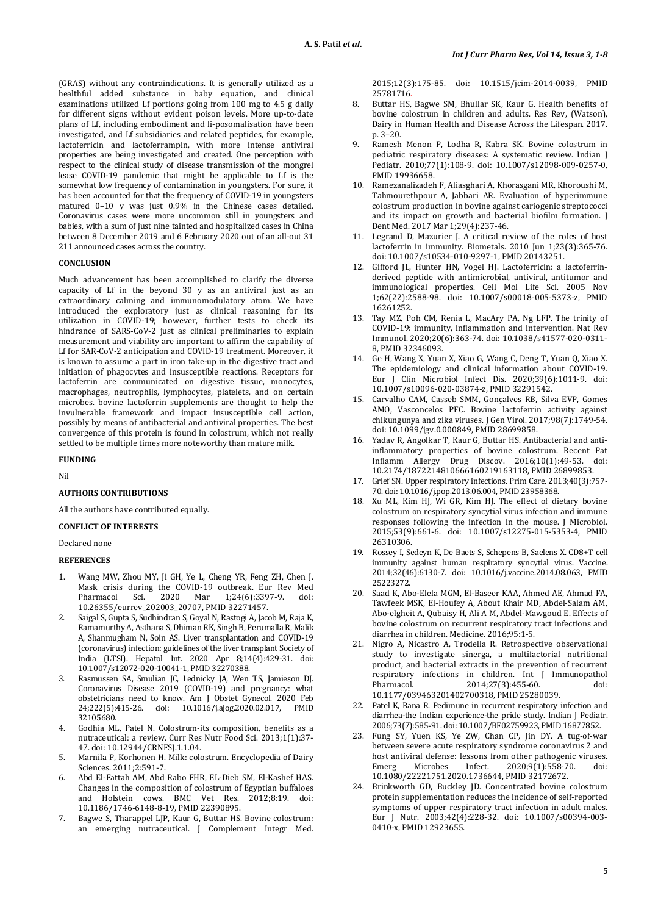(GRAS) without any contraindications. It is generally utilized as a healthful added substance in baby equation, and clinical examinations utilized Lf portions going from 100 mg to 4.5 g daily for different signs without evident poison levels. More up-to-date plans of Lf, including embodiment and li-posomalisation have been investigated, and Lf subsidiaries and related peptides, for example, lactoferricin and lactoferrampin, with more intense antiviral properties are being investigated and created. One perception with respect to the clinical study of disease transmission of the mongrel lease COVID-19 pandemic that might be applicable to Lf is the somewhat low frequency of contamination in youngsters. For sure, it has been accounted for that the frequency of COVID-19 in youngsters matured 0–10 y was just 0.9% in the Chinese cases detailed. Coronavirus cases were more uncommon still in youngsters and babies, with a sum of just nine tainted and hospitalized cases in China between 8 December 2019 and 6 February 2020 out of an all-out 31 211 announced cases across the country.

### **CONCLUSION**

Much advancement has been accomplished to clarify the diverse capacity of Lf in the beyond  $30\,$  y as an antiviral just as an extraordinary calming and immunomodulatory atom. We have introduced the exploratory just as clinical reasoning for its utilization in COVID-19; however, further tests to check its hindrance of SARS-CoV-2 just as clinical preliminaries to explain measurement and viability are important to affirm the capability of Lf for SAR-CoV-2 anticipation and COVID-19 treatment. Moreover, it is known to assume a part in iron take-up in the digestive tract and initiation of phagocytes and insusceptible reactions. Receptors for lactoferrin are communicated on digestive tissue, monocytes, macrophages, neutrophils, lymphocytes, platelets, and on certain microbes. bovine lactoferrin supplements are thought to help the invulnerable framework and impact insusceptible cell action, possibly by means of antibacterial and antiviral properties. The best convergence of this protein is found in colostrum, which not really settled to be multiple times more noteworthy than mature milk.

### **FUNDING**

Nil

### **AUTHORS CONTRIBUTIONS**

All the authors have contributed equally.

## **CONFLICT OF INTERESTS**

Declared none

### **REFERENCES**

- 1. Wang MW, Zhou MY, Ji GH, Ye L, Cheng YR, Feng ZH, Chen J. Mask crisis during the COVID-19 outbreak. Eur Rev Med Pharmacol Sci. 2020 Mar 1;24(6):3397-9. doi: [10.26355/eurrev\\_202003\\_20707,](https://doi.org/10.26355/eurrev_202003_20707) PMI[D 32271457.](https://www.ncbi.nlm.nih.gov/pubmed/32271457)
- 2. Saigal S, Gupta S, Sudhindran S, Goyal N, Rastogi A, Jacob M, Raja K, Ramamurthy A, Asthana S, Dhiman RK, Singh B, Perumalla R, Malik A, Shanmugham N, Soin AS. Liver transplantation and COVID-19 (coronavirus) infection: guidelines of the liver transplant Society of India (LTSI). Hepatol Int. 2020 Apr 8;14(4):429-31. doi: [10.1007/s12072-020-10041-1,](https://doi.org/10.1007/s12072-020-10041-1) PMI[D 32270388.](https://www.ncbi.nlm.nih.gov/pubmed/32270388)
- 3. Rasmussen SA, Smulian JC, Lednicky JA, Wen TS, Jamieson DJ. Coronavirus Disease 2019 (COVID-19) and pregnancy: what obstetricians need to know. Am J Obstet Gynecol. 2020 Feb 24;222(5):415-26. doi: [10.1016/j.ajog.2020.02.017,](https://doi.org/10.1016/j.ajog.2020.02.017) PMID [32105680.](https://www.ncbi.nlm.nih.gov/pubmed/32105680)
- 4. Godhia ML, Patel N. Colostrum-its composition, benefits as a nutraceutical: a review. Curr Res Nutr Food Sci. 2013;1(1):37- 47. doi[: 10.12944/CRNFSJ.1.1.04.](https://doi.org/10.12944/CRNFSJ.1.1.04)
- 5. Marnila P, Korhonen H. Milk: colostrum. Encyclopedia of Dairy Sciences. 2011;2:591-7.
- 6. Abd El-Fattah AM, Abd Rabo FHR, EL-Dieb SM, El-Kashef HAS. Changes in the composition of colostrum of Egyptian buffaloes<br>and Holstein cows. BMC Vet Res. 2012:8:19. doi: and Holstein cows. BMC Vet Res. [10.1186/1746-6148-8-19,](https://doi.org/10.1186/1746-6148-8-19) PMI[D 22390895.](https://www.ncbi.nlm.nih.gov/pubmed/22390895)
- 7. Bagwe S, Tharappel LJP, Kaur G, Buttar HS. Bovine colostrum: an emerging nutraceutical. J Complement Integr Med.

2015;12(3):175-85. doi: [10.1515/jcim-2014-0039,](https://doi.org/10.1515/jcim-2014-0039) PMID [25781716.](https://www.ncbi.nlm.nih.gov/pubmed/25781716)

- 8. Buttar HS, Bagwe SM, Bhullar SK, Kaur G. Health benefits of bovine colostrum in children and adults. Res Rev, (Watson), Dairy in Human Health and Disease Across the Lifespan. 2017. p. 3–20.
- 9. Ramesh Menon P, Lodha R, Kabra SK. Bovine colostrum in pediatric respiratory diseases: A systematic review. Indian J Pediatr. 2010;77(1):108-9. doi: [10.1007/s12098-009-0257-0,](https://doi.org/10.1007/s12098-009-0257-0)  PMI[D 19936658.](https://www.ncbi.nlm.nih.gov/pubmed/19936658)
- 10. Ramezanalizadeh F, Aliasghari A, Khorasgani MR, Khoroushi M, Tahmourethpour A, Jabbari AR. Evaluation of hyperimmune colostrum production in bovine against cariogenic streptococci and its impact on growth and bacterial biofilm formation. J Dent Med. 2017 Mar 1;29(4):237-46.
- 11. Legrand D, Mazurier J. A critical review of the roles of host lactoferrin in immunity. Biometals. 2010 Jun 1:23(3):365-76. doi[: 10.1007/s10534-010-9297-1,](https://doi.org/10.1007/s10534-010-9297-1) PMI[D 20143251.](https://www.ncbi.nlm.nih.gov/pubmed/20143251)
- 12. Gifford JL, Hunter HN, Vogel HJ. Lactoferricin: a lactoferrinderived peptide with antimicrobial, antiviral, antitumor and immunological properties. Cell Mol Life Sci. 2005 Nov 1;62(22):2588-98. doi: [10.1007/s00018-005-5373-z,](https://doi.org/10.1007/s00018-005-5373-z) PMID [16261252.](https://www.ncbi.nlm.nih.gov/pubmed/16261252)
- 13. Tay MZ, Poh CM, Renia L, MacAry PA, Ng LFP. The trinity of COVID-19: immunity, inflammation and intervention. Nat Rev Immunol. 2020;20(6):363-74. doi[: 10.1038/s41577-020-0311-](https://doi.org/10.1038/s41577-020-0311-8) [8,](https://doi.org/10.1038/s41577-020-0311-8) PMI[D 32346093.](https://www.ncbi.nlm.nih.gov/pubmed/32346093)
- 14. Ge H, Wang X, Yuan X, Xiao G, Wang C, Deng T, Yuan Q, Xiao X. The epidemiology and clinical information about COVID-19. Eur J Clin Microbiol Infect Dis. 2020;39(6):1011-9. doi: [10.1007/s10096-020-03874-z,](https://doi.org/10.1007/s10096-020-03874-z) PMI[D 32291542.](https://www.ncbi.nlm.nih.gov/pubmed/32291542)
- 15. Carvalho CAM, Casseb SMM, Gonçalves RB, Silva EVP, Gomes AMO, Vasconcelos PFC. Bovine lactoferrin activity against chikungunya and zika viruses. J Gen Virol. 2017;98(7):1749-54. doi[: 10.1099/jgv.0.000849,](https://doi.org/10.1099/jgv.0.000849) PMI[D 28699858.](https://www.ncbi.nlm.nih.gov/pubmed/28699858)
- 16. Yadav R, Angolkar T, Kaur G, Buttar HS. Antibacterial and antiinflammatory properties of bovine colostrum. Recent Pat Inflamm Allergy Drug Discov. 2016;10(1):49-53. doi: [10.2174/1872214810666160219163118,](https://doi.org/10.2174/1872214810666160219163118) PMI[D 26899853.](https://www.ncbi.nlm.nih.gov/pubmed/26899853)
- 17. Grief SN. Upper respiratory infections. Prim Care. 2013;40(3):757- 70. doi[: 10.1016/j.pop.2013.06.004,](https://doi.org/10.1016/j.pop.2013.06.004) PMI[D 23958368.](https://www.ncbi.nlm.nih.gov/pubmed/23958368)
- 18. Xu ML, Kim HJ, Wi GR, Kim HJ. The effect of dietary bovine colostrum on respiratory syncytial virus infection and immune responses following the infection in the mouse. J Microbiol. 2015;53(9):661-6. doi: [10.1007/s12275-015-5353-4,](https://doi.org/10.1007/s12275-015-5353-4) PMID [26310306.](https://www.ncbi.nlm.nih.gov/pubmed/26310306)
- 19. Rossey I, Sedeyn K, De Baets S, Schepens B, Saelens X. CD8+T cell immunity against human respiratory syncytial virus. Vaccine. 2014;32(46):6130-7. doi: [10.1016/j.vaccine.2014.08.063,](https://doi.org/10.1016/j.vaccine.2014.08.063) PMID [25223272.](https://www.ncbi.nlm.nih.gov/pubmed/25223272)
- 20. Saad K, Abo-Elela MGM, El-Baseer KAA, Ahmed AE, Ahmad FA, Tawfeek MSK, El-Houfey A, About Khair MD, Abdel-Salam AM, Abo-elgheit A, Qubaisy H, Ali A M, Abdel-Mawgoud E. Effects of bovine colostrum on recurrent respiratory tract infections and diarrhea in children. Medicine. 2016;95:1-5.
- 21. Nigro A, Nicastro A, Trodella R. Retrospective observational study to investigate sinerga, a multifactorial nutritional product, and bacterial extracts in the prevention of recurrent respiratory infections in children. Int J Immunopathol 2014;27(3):455-60. [10.1177/039463201402700318,](https://doi.org/10.1177/039463201402700318) PMI[D 25280039.](https://www.ncbi.nlm.nih.gov/pubmed/25280039)
- 22. Patel K, Rana R. Pedimune in recurrent respiratory infection and diarrhea-the Indian experience-the pride study. Indian J Pediatr. 2006;73(7):585-91. doi[: 10.1007/BF02759923,](https://doi.org/10.1007/BF02759923) PMI[D 16877852.](https://www.ncbi.nlm.nih.gov/pubmed/16877852)
- 23. Fung SY, Yuen KS, Ye ZW, Chan CP, Jin DY. A tug-of-war between severe acute respiratory syndrome coronavirus 2 and host antiviral defense: lessons from other pathogenic viruses.<br>Emerg Microbes Infect. 2020:9(1):558-70. doi: Emerg Microbes Infect. 2020;9(1):558-70. doi: [10.1080/22221751.2020.1736644,](https://doi.org/10.1080/22221751.2020.1736644) PMI[D 32172672.](https://www.ncbi.nlm.nih.gov/pubmed/32172672)
- 24. Brinkworth GD, Buckley JD. Concentrated bovine colostrum protein supplementation reduces the incidence of self-reported symptoms of upper respiratory tract infection in adult males. Eur J Nutr. 2003;42(4):228-32. doi: [10.1007/s00394-003-](https://doi.org/10.1007/s00394-003-0410-x) [0410-x,](https://doi.org/10.1007/s00394-003-0410-x) PMI[D 12923655.](https://www.ncbi.nlm.nih.gov/pubmed/12923655)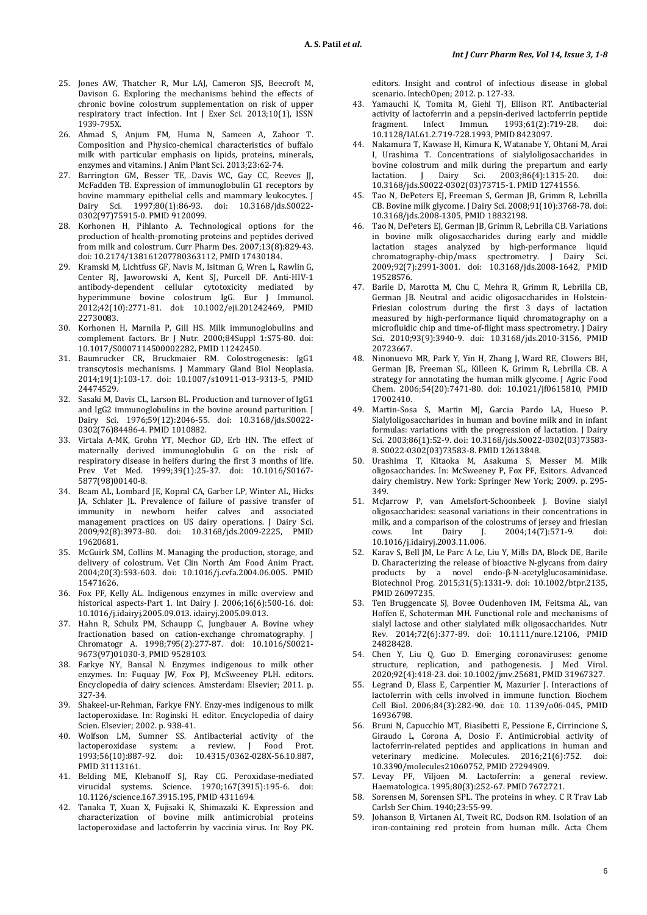- 25. Jones AW, Thatcher R, Mur LAJ, Cameron SJS, Beecroft M, Davison G. Exploring the mechanisms behind the effects of chronic bovine colostrum supplementation on risk of upper respiratory tract infection. Int J Exer Sci. 2013;10(1), ISSN 1939-795X.
- 26. Ahmad S, Anjum FM, Huma N, Sameen A, Zahoor T. Composition and Physico-chemical characteristics of buffalo milk with particular emphasis on lipids, proteins, minerals, enzymes and vitamins. J Anim Plant Sci. 2013;23:62-74.
- 27. Barrington GM, Besser TE, Davis WC, Gay CC, Reeves JJ, McFadden TB. Expression of immunoglobulin G1 receptors by bovine mammary epithelial cells and mammary leukocytes. J Dairy Sci. 1997;80(1):86-93. doi: [10.3168/jds.S0022-](https://doi.org/10.3168/jds.S0022-0302(97)75915-0) [0302\(97\)75915-0.](https://doi.org/10.3168/jds.S0022-0302(97)75915-0) PMI[D 9120099.](https://www.ncbi.nlm.nih.gov/pubmed/9120099)
- 28. Korhonen H, Pihlanto A. Technological options for the production of health-promoting proteins and peptides derived from milk and colostrum. Curr Pharm Des. 2007;13(8):829-43. doi[: 10.2174/138161207780363112,](https://doi.org/10.2174/138161207780363112) PMID [17430184.](https://www.ncbi.nlm.nih.gov/pubmed/17430184)
- 29. Kramski M, Lichtfuss GF, Navis M, Isitman G, Wren L, Rawlin G, Center RJ, Jaworowski A, Kent SJ, Purcell DF. Anti-HIV-1 antibody-dependent cellular cytotoxicity mediated by hyperimmune bovine colostrum IgG. Eur J Immunol. 2012;42(10):2771-81. doi: [10.1002/eji.201242469,](https://doi.org/10.1002/eji.201242469) PMID [22730083.](https://www.ncbi.nlm.nih.gov/pubmed/22730083)
- 30. Korhonen H, Marnila P, Gill HS. Milk immunoglobulins and complement factors. Br J Nutr. 2000;84Suppl 1:S75-80. doi: [10.1017/S0007114500002282,](https://doi.org/10.1017/s0007114500002282) PMI[D 11242450.](https://www.ncbi.nlm.nih.gov/pubmed/11242450)
- 31. Baumrucker CR, Bruckmaier RM. Colostrogenesis: IgG1 transcytosis mechanisms. J Mammary Gland Biol Neoplasia. 2014;19(1):103-17. doi: [10.1007/s10911-013-9313-5,](https://doi.org/10.1007/s10911-013-9313-5) PMID [24474529.](https://www.ncbi.nlm.nih.gov/pubmed/24474529)
- 32. Sasaki M, Davis CL, Larson BL. Production and turnover of IgG1 and IgG2 immunoglobulins in the bovine around parturition. J Dairy Sci. 1976;59(12):2046-55. doi: [10.3168/jds.S0022-](https://doi.org/10.3168/jds.S0022-0302(76)84486-4) [0302\(76\)84486-4.](https://doi.org/10.3168/jds.S0022-0302(76)84486-4) PMI[D 1010882.](https://www.ncbi.nlm.nih.gov/pubmed/1010882)
- 33. Virtala A-MK, Grohn YT, Mechor GD, Erb HN. The effect of maternally derived immunoglobulin G on the risk of respiratory disease in heifers during the first 3 months of life. Prev Vet Med. 1999;39(1):25-37. doi: [10.1016/S0167-](https://doi.org/10.1016/s0167-5877(98)00140-8) [5877\(98\)00140-8.](https://doi.org/10.1016/s0167-5877(98)00140-8)
- 34. Beam AL, Lombard JE, Kopral CA, Garber LP, Winter AL, Hicks JA, Schlater JL. Prevalence of failure of passive transfer of immunity in newborn heifer calves and associated management practices on US dairy operations. J Dairy Sci. 2009;92(8):3973-80. doi: [10.3168/jds.2009-2225,](https://doi.org/10.3168/jds.2009-2225) PMID [19620681.](https://www.ncbi.nlm.nih.gov/pubmed/19620681)
- 35. McGuirk SM, Collins M. Managing the production, storage, and delivery of colostrum. Vet Clin North Am Food Anim Pract. 2004;20(3):593-603. doi: [10.1016/j.cvfa.2004.06.005.](https://doi.org/10.1016/j.cvfa.2004.06.005) PMID [15471626.](https://www.ncbi.nlm.nih.gov/pubmed/15471626)
- 36. Fox PF, Kelly AL. Indigenous enzymes in milk: overview and historical aspects-Part 1. Int Dairy J. 2006;16(6):500-16. doi: [10.1016/j.idairyj.2005.09.013.](https://doi.org/10.1016/j.idairyj.2005.09.013) idairyj.2005.09.013.
- 37. Hahn R, Schulz PM, Schaupp C, Jungbauer A. Bovine whey fractionation based on cation-exchange chromatography. J Chromatogr A. 1998;795(2):277-87. doi: [10.1016/S0021-](https://doi.org/10.1016/s0021-9673(97)01030-3) [9673\(97\)01030-3,](https://doi.org/10.1016/s0021-9673(97)01030-3) PMI[D 9528103.](https://www.ncbi.nlm.nih.gov/pubmed/9528103)
- 38. Farkye NY, Bansal N. Enzymes indigenous to milk other enzymes. In: Fuquay JW, Fox PJ, McSweeney PLH. editors. Encyclopedia of dairy sciences. Amsterdam: Elsevier; 2011. p. 327-34.
- 39. Shakeel-ur-Rehman, Farkye FNY. Enzy-mes indigenous to milk lactoperoxidase. In: Roginski H. editor. Encyclopedia of dairy Scien. Elsevier; 2002. p. 938-41.
- 40. Wolfson LM, Sumner SS. Antibacterial activity of the lactoperoxidase system: a review. J Food Prot. 1993;56(10):887-92. doi: [10.4315/0362-028X-56.10.887,](https://doi.org/10.4315/0362-028x-56.10.887)  PMI[D 31113161.](https://www.ncbi.nlm.nih.gov/pubmed/31113161)
- 41. Belding ME, Klebanoff SJ, Ray CG. Peroxidase-mediated virucidal systems. Science. 1970;167(3915):195-6. doi: [10.1126/science.167.3915.195,](https://doi.org/10.1126/science.167.3915.195) PMI[D 4311694.](https://www.ncbi.nlm.nih.gov/pubmed/4311694)
- 42. Tanaka T, Xuan X, Fujisaki K, Shimazaki K. Expression and characterization of bovine milk antimicrobial proteins lactoperoxidase and lactoferrin by vaccinia virus. In: Roy PK.

editors. Insight and control of infectious disease in global scenario. IntechOpen; 2012. p. 127-33.

- Yamauchi K, Tomita M, Giehl TJ, Ellison RT. Antibacterial activity of lactoferrin and a pepsin-derived lactoferrin peptide<br>fragment. Infect Immun. 1993;61(2):719-28. doi: 1993;61(2):719-28. [10.1128/IAI.61.2.719-728.1993,](https://doi.org/10.1128/iai.61.2.719-728.1993) PMI[D 8423097.](https://www.ncbi.nlm.nih.gov/pubmed/8423097)
- 44. Nakamura T, Kawase H, Kimura K, Watanabe Y, Ohtani M, Arai I, Urashima T. Concentrations of sialyloligosaccharides in bovine colostrum and milk during the prepartum and early<br>lactation. J Dairy Sci. 2003;86(4):1315-20. doi: Sci. 2003;86(4):1315-20. [10.3168/jds.S0022-0302\(03\)73715-1.](https://doi.org/10.3168/jds.S0022-0302(03)73715-1) PMI[D 12741556.](https://www.ncbi.nlm.nih.gov/pubmed/12741556)
- 45. Tao N, DePeters EJ, Freeman S, German JB, Grimm R, Lebrilla CB. Bovine milk glycome. J Dairy Sci. 2008;91(10):3768-78. doi: [10.3168/jds.2008-1305,](https://doi.org/10.3168/jds.2008-1305) PMI[D 18832198.](https://www.ncbi.nlm.nih.gov/pubmed/18832198)
- 46. Tao N, DePeters EJ, German JB, Grimm R, Lebrilla CB. Variations in bovine milk oligosaccharides during early and middle lactation stages analyzed by high-performance liquid chromatography-chip/mass spectrometry. J Dairy Sci. 2009;92(7):2991-3001. doi: [10.3168/jds.2008-1642,](https://doi.org/10.3168/jds.2008-1642) PMID [19528576.](https://www.ncbi.nlm.nih.gov/pubmed/19528576)
- 47. Barile D, Marotta M, Chu C, Mehra R, Grimm R, Lebrilla CB, German JB. Neutral and acidic oligosaccharides in Holstein-Friesian colostrum during the first 3 days of lactation measured by high-performance liquid chromatography on a microfluidic chip and time-of-flight mass spectrometry. J Dairy Sci. 2010;93(9):3940-9. doi: [10.3168/jds.2010-3156,](https://doi.org/10.3168/jds.2010-3156) PMID [20723667.](https://www.ncbi.nlm.nih.gov/pubmed/20723667)
- 48. Ninonuevo MR, Park Y, Yin H, Zhang J, Ward RE, Clowers BH, German JB, Freeman SL, Killeen K, Grimm R, Lebrilla CB. A strategy for annotating the human milk glycome. J Agric Food Chem. 2006;54(20):7471-80. doi: [10.1021/jf0615810,](https://doi.org/10.1021/jf0615810) PMID [17002410.](https://www.ncbi.nlm.nih.gov/pubmed/17002410)
- 49. Martin-Sosa S, Martin MJ, Garcia Pardo LA, Hueso P. Sialyloligosaccharides in human and bovine milk and in infant formulas: variations with the progression of lactation. J Dairy Sci. 2003;86(1):52-9. doi[: 10.3168/jds.S0022-0302\(03\)73583-](https://doi.org/10.3168/jds.S0022-0302(03)73583-8) [8.](https://doi.org/10.3168/jds.S0022-0302(03)73583-8) S0022-0302(03)73583-8. PMI[D 12613848.](https://www.ncbi.nlm.nih.gov/pubmed/12613848)
- 50. Urashima T, Kitaoka M, Asakuma S, Messer M. Milk oligosaccharides. In: McSweeney P, Fox PF, Esitors. Advanced dairy chemistry. New York: Springer New York; 2009. p. 295- 349.
- 51. McJarrow P, van Amelsfort-Schoonbeek J. Bovine sialyl oligosaccharides: seasonal variations in their concentrations in milk, and a comparison of the colostrums of jersey and friesian<br>cows. Int Dairy J. 2004;14(7):571-9. doi: 2004;14(7):571-9. [10.1016/j.idairyj.2003.11.006.](https://doi.org/10.1016/j.idairyj.2003.11.006)
- 52. Karav S, Bell JM, Le Parc A Le, Liu Y, Mills DA, Block DE, Barile D. Characterizing the release of bioactive N-glycans from dairy products by a novel endo-β-N-acetylglucosaminidase. Biotechnol Prog. 2015;31(5):1331-9. doi: [10.1002/btpr.2135,](https://doi.org/10.1002/btpr.2135)  PMI[D 26097235.](https://www.ncbi.nlm.nih.gov/pubmed/26097235)
- 53. Ten Bruggencate SJ, Bovee Oudenhoven IM, Feitsma AL, van Hoffen E, Schoterman MH. Functional role and mechanisms of sialyl lactose and other sialylated milk oligosaccharides. Nutr Rev. 2014;72(6):377-89. doi: [10.1111/nure.12106,](https://doi.org/10.1111/nure.12106) PMID [24828428.](https://www.ncbi.nlm.nih.gov/pubmed/24828428)
- 54. Chen Y, Liu Q, Guo D. Emerging coronaviruses: genome structure, replication, and pathogenesis. J Med Virol. 2020;92(4):418-23. doi[: 10.1002/jmv.25681,](https://doi.org/10.1002/jmv.25681) PMI[D 31967327.](https://www.ncbi.nlm.nih.gov/pubmed/31967327)
- 55. Legrand D, Elass E, Carpentier M, Mazurier J. Interactions of lactoferrin with cells involved in immune function. Biochem Cell Biol. 2006;84(3):282-90. doi: 10. [1139/o06-045,](https://doi.org/10.1139/o06-045) PMID [16936798.](https://www.ncbi.nlm.nih.gov/pubmed/16936798)
- 56. Bruni N, Capucchio MT, Biasibetti E, Pessione E, Cirrincione S, Giraudo L, Corona A, Dosio F. Antimicrobial activity of lactoferrin-related peptides and applications in human and veterinary medicine. Molecules.  $2016;21(6):752$ . [10.3390/molecules21060752,](https://doi.org/10.3390/molecules21060752) PMI[D 27294909.](https://www.ncbi.nlm.nih.gov/pubmed/27294909)
- 57. Levay PF, Viljoen M. Lactoferrin: a general review. Haematologica. 1995;80(3):252-67. PMI[D 7672721.](https://www.ncbi.nlm.nih.gov/pubmed/7672721)
- 58. Sorensen M, Sorensen SPL. The proteins in whey. C R Trav Lab Carlsb Ser Chim. 1940;23:55-99.
- 59. Johanson B, Virtanen AI, Tweit RC, Dodson RM. Isolation of an iron-containing red protein from human milk. Acta Chem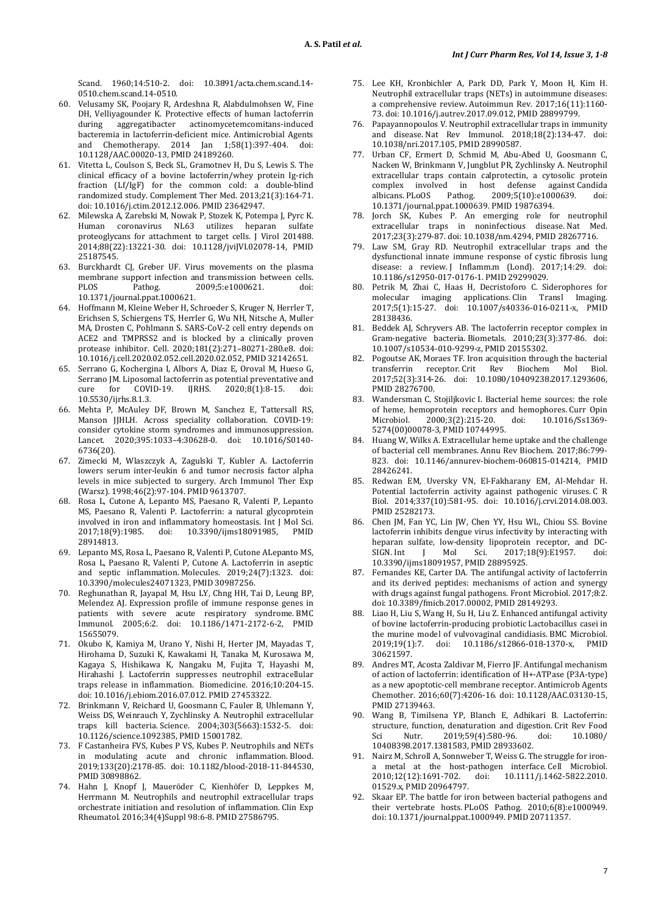Scand. 1960;14:510-2. doi: [10.3891/acta.chem.scand.14-](https://doi.org/10.3891/acta.chem.scand.14-0510) [0510.c](https://doi.org/10.3891/acta.chem.scand.14-0510)hem.scand.14-0510.

- 60. Velusamy SK, Poojary R, Ardeshna R, Alabdulmohsen W, Fine DH, Velliyagounder K. Protective effects of human lactoferrin during aggregatibacter actinomycetemcomitans-induced actinomycetemcomitans-induced bacteremia in lactoferrin-deficient mice. Antimicrobial Agents<br>and Chemotherany 2014 Ian 1:58(1):397-404 doi: and Chemotherapy.  $2014$  Jan  $1;58(1):397-404$ . [10.1128/AAC.00020-13,](https://doi.org/10.1128/AAC.00020-13) PMI[D 24189260.](https://www.ncbi.nlm.nih.gov/pubmed/24189260)
- 61. Vitetta L, Coulson S, Beck SL, Gramotnev H, Du S, Lewis S. The clinical efficacy of a bovine lactoferrin/whey protein Ig-rich fraction (Lf/IgF) for the common cold: a double-blind randomized study. Complement Ther Med. 2013;21(3):164-71. doi[: 10.1016/j.ctim.2012.12.006.](https://doi.org/10.1016/j.ctim.2012.12.006) PMI[D 23642947.](https://www.ncbi.nlm.nih.gov/pubmed/23642947)
- 62. Milewska A, Zarebski M, Nowak P, Stozek K, Potempa J, Pyrc K. Human coronavirus NL63 utilizes proteoglycans for attachment to target cells. J Virol [201488.](http://www.ncbi.nlm.nih.gov/pubmed/25187545)  2014;88(22):13221-30. doi: [10.1128/jviJVI.02078-14,](https://doi.org/10.1128/JVI.02078-14) PMID [25187545.](http://www.ncbi.nlm.nih.gov/pubmed/25187545)
- 63. Burckhardt CJ, Greber UF. Virus movements on the plasma membrane support infection and transmission between cells.<br>PLOS Pathog 2009:5:e1000621 doi: 2009:5:e1000621. [10.1371/journal.p](https://doi.org/10.1371/journal)pat.1000621.
- 64. Hoffmann M, Kleine Weber H, Schroeder S, Kruger N, Herrler T, Erichsen S, Schiergens TS, Herrler G, Wu NH, Nitsche A, Muller MA, Drosten C, Pohlmann S. SARS-CoV-2 cell entry depends on ACE2 and TMPRSS2 and is blocked by a clinically proven protease inhibitor. Cell. 2020;181(2):271–80271-280.e8. doi: [10.1016/j.cell.2020.02.052.c](https://doi.org/10.1016/j.cell.2020.02.052)ell.2020.02.052, PMI[D 32142651.](https://www.ncbi.nlm.nih.gov/pubmed/32142651)
- 65. Serrano G, Kochergina I, Albors A, Diaz E, Oroval M, Hueso G, Serrano JM. Liposomal lactoferrin as potential preventative and<br>cure for COVID-19. IIRHS. 2020:8(1):8-15. doi:  $2020:8(1):8-15.$ [10.5530/ijrhs.8.1.3.](https://doi.org/10.5530/ijrhs.8.1.3)
- 66. Mehta P, McAuley DF, Brown M, Sanchez E, Tattersall RS, Manson JJHLH. Across speciality collaboration. COVID-19: consider cytokine storm syndromes and immunosuppression. Lancet. 2020;395:1033–4:30628-0. doi: [10.1016/S0140-](https://doi.org/10.1016/s0140-6736(20)) [6736\(20\).](https://doi.org/10.1016/s0140-6736(20))
- 67. Zimecki M, Wlaszczyk A, Zagulski T, Kubler A. Lactoferrin lowers serum inter-leukin 6 and tumor necrosis factor alpha levels in mice subjected to surgery. Arch Immunol Ther Exp (Warsz). 1998;46(2):97-104. PMI[D 9613707.](https://www.ncbi.nlm.nih.gov/pubmed/9613707)
- 68. Rosa L, Cutone A, Lepanto MS, Paesano R, Valenti P, Lepanto MS, Paesano R, Valenti P. Lactoferrin: a natural glycoprotein involved in iron and inflammatory homeostasis. Int J Mol Sci.<br>2017:18(9):1985. doi: 10.3390/jims18091985. PMID 2017;18(9):1985. doi: 10.3390/ijms18091985, [28914813.](https://www.ncbi.nlm.nih.gov/pubmed/28914813)
- 69. Lepanto MS, Rosa L, Paesano R, Valenti P, Cutone ALepanto MS, Rosa L, Paesano R, Valenti P, Cutone A. Lactoferrin in aseptic and septic inflammation. Molecules. 2019;24(7):1323. doi: [10.3390/molecules24071323,](https://doi.org/10.3390/molecules24071323) PMI[D 30987256.](https://www.ncbi.nlm.nih.gov/pubmed/30987256)
- 70. Reghunathan R, Jayapal M, Hsu LY, Chng HH, Tai D, Leung BP, Melendez AJ. Expression profile of immune response genes in patients with severe acute respiratory syndrome. BMC Immunol. 2005;6:2. doi: [10.1186/1471-2172-6-2,](https://doi.org/10.1186/1471-2172-6-2) PMID [15655079.](https://www.ncbi.nlm.nih.gov/pubmed/15655079)
- 71. Okubo K, Kamiya M, Urano Y, Nishi H, Herter JM, Mayadas T, Hirohama D, Suzuki K, Kawakami H, Tanaka M, Kurosawa M, Kagaya S, Hishikawa K, Nangaku M, Fujita T, Hayashi M, Hirahashi J. Lactoferrin suppresses neutrophil extracellular traps release in inflammation. Biomedicine. 2016;10:204-15. doi[: 10.1016/j.ebiom.2016.07.012.](https://doi.org/10.1016/j.ebiom.2016.07.012) PMI[D 27453322.](https://www.ncbi.nlm.nih.gov/pubmed/27453322)
- 72. Brinkmann V, Reichard U, Goosmann C, Fauler B, Uhlemann Y, Weiss DS, Weinrauch Y, Zychlinsky A. Neutrophil extracellular traps kill bacteria. Science. 2004;303(5663):1532-5. doi: [10.1126/science.1092385,](https://doi.org/10.1126/science.1092385) PMI[D 15001782.](https://www.ncbi.nlm.nih.gov/pubmed/15001782)
- 73. F Castanheira FVS, Kubes P VS, Kubes P. Neutrophils and NETs in modulating acute and chronic inflammation. Blood. 2019;133(20):2178-85. doi: [10.1182/blood-2018-11-844530,](https://doi.org/10.1182/blood-2018-11-844530)  PMI[D 30898862.](https://www.ncbi.nlm.nih.gov/pubmed/30898862)
- 74. Hahn J, Knopf J, Maueröder C, Kienhöfer D, Leppkes M, Herrmann M. Neutrophils and neutrophil extracellular traps orchestrate initiation and resolution of inflammation. Clin Exp Rheumatol. 2016;34(4)Suppl 98:6-8. PMI[D 27586795.](https://www.ncbi.nlm.nih.gov/pubmed/27586795)
- 75. Lee KH, Kronbichler A, Park DD, Park Y, Moon H, Kim H. Neutrophil extracellular traps (NETs) in autoimmune diseases: a comprehensive review. Autoimmun Rev. 2017;16(11):1160- 73. doi[: 10.1016/j.autrev.2017.09.012,](https://doi.org/10.1016/j.autrev.2017.09.012) PMID [28899799.](https://www.ncbi.nlm.nih.gov/pubmed/28899799)
- 76. Papayannopoulos V. Neutrophil extracellular traps in immunity and disease. Nat Rev Immunol. 2018;18(2):134-47. doi: [10.1038/nri.2017.105,](https://doi.org/10.1038/nri.2017.105) PMI[D 28990587.](https://www.ncbi.nlm.nih.gov/pubmed/28990587)
- 77. Urban CF, Ermert D, Schmid M, Abu-Abed U, Goosmann C, Nacken W, Brinkmann V, Jungblut PR, Zychlinsky A. Neutrophil extracellular traps contain calprotectin, a cytosolic protein complex involved in host defense against Candida<br>albicans. PLoOS Pathog. 2009;5(10):e1000639. doi: 2009;5(10):e1000639. [10.1371/journal.ppat.1000639.](https://doi.org/10.1371/journal.ppat.1000639) PMI[D 19876394.](https://www.ncbi.nlm.nih.gov/pubmed/19876394)
- Jorch SK, Kubes P. An emerging role for neutrophil extracellular traps in noninfectious disease. Nat Med. 2017;23(3):279-87. doi[: 10.1038/nm.4294,](https://doi.org/10.1038/nm.4294) PMI[D 28267716.](https://www.ncbi.nlm.nih.gov/pubmed/28267716)
- 79. Law SM, Gray RD. Neutrophil extracellular traps and the dysfunctional innate immune response of cystic fibrosis lung disease: a review. J Inflamm.m (Lond). 2017;14:29. doi: [10.1186/s12950-017-0176-1.](https://doi.org/10.1186/s12950-017-0176-1) PMI[D 29299029.](https://www.ncbi.nlm.nih.gov/pubmed/29299029)
- 80. Petrik M, Zhai C, Haas H, Decristoforo C. Siderophores for molecular imaging applications. Clin Transl Imaging. 2017;5(1):15-27. doi: [10.1007/s40336-016-0211-x,](https://doi.org/10.1007/s40336-016-0211-x) PMID [28138436.](https://www.ncbi.nlm.nih.gov/pubmed/28138436)
- 81. Beddek AJ, Schryvers AB. The lactoferrin receptor complex in Gram-negative bacteria. Biometals. 2010;23(3):377-86. doi: [10.1007/s10534-010-9299-z,](https://doi.org/10.1007/s10534-010-9299-z) PMI[D 20155302.](https://www.ncbi.nlm.nih.gov/pubmed/20155302)
- 82. Pogoutse AK, Moraes TF. Iron acquisition through the bacterial<br>transferrin receptor Crit Rev Biochem Mol Biol. receptor. Crit Rev Biochem Mol Biol. 2017;52(3):314-26. doi: [10.1080/10409238.2017.1293606,](https://doi.org/10.1080/10409238.2017.1293606)  PMI[D 28276700.](https://www.ncbi.nlm.nih.gov/pubmed/28276700)
- 83. Wandersman C, Stojiljkovic I. Bacterial heme sources: the role of heme, hemoprotein receptors and hemophores. Curr Opin Microbiol. 2000;3(2):215-20. doi: 10.1016/Ss1369-2000;3(2):215-20. [5274\(00\)00078-3,](https://doi.org/10.1016/s1369-5274(00)00078-3) PMI[D 10744995.](https://www.ncbi.nlm.nih.gov/pubmed/10744995)
- 84. Huang W, Wilks A. Extracellular heme uptake and the challenge of bacterial cell membranes. Annu Rev Biochem. 2017;86:799- 823. doi: [10.1146/annurev-biochem-060815-014214,](https://doi.org/10.1146/annurev-biochem-060815-014214) PMID [28426241.](https://www.ncbi.nlm.nih.gov/pubmed/28426241)
- 85. Redwan EM, Uversky VN, El-Fakharany EM, Al-Mehdar H. Potential lactoferrin activity against pathogenic viruses. C R Biol. 2014;337(10):581-95. doi: [10.1016/j.crvi.2014.08.003.](https://doi.org/10.1016/j.crvi.2014.08.003)  PMI[D 25282173.](https://www.ncbi.nlm.nih.gov/pubmed/25282173)
- 86. Chen JM, Fan YC, Lin JW, Chen YY, Hsu WL, Chiou SS. Bovine lactoferrin inhibits dengue virus infectivity by interacting with heparan sulfate, low-density lipoprotein receptor, and DC-<br>SIGN.Int J Mol Sci. 2017;18(9):E1957. doi:  $2017;18(9):E1957.$ [10.3390/ijms18091957,](https://doi.org/10.3390/ijms18091957) PMID [28895925.](https://www.ncbi.nlm.nih.gov/pubmed/28895925)
- 87. Fernandes KE, Carter DA. The antifungal activity of lactoferrin and its derived peptides: mechanisms of action and synergy with drugs against fungal pathogens. Front Microbiol. 2017;8:2. doi[: 10.3389/fmicb.2017.00002,](https://doi.org/10.3389/fmicb.2017.00002) PMI[D 28149293.](https://www.ncbi.nlm.nih.gov/pubmed/28149293)
- 88. Liao H, Liu S, Wang H, Su H, Liu Z. Enhanced antifungal activity of bovine lactoferrin-producing probiotic Lactobacillus casei in the murine model of vulvovaginal candidiasis. BMC Microbiol.<br>2019;19(1):7. doi: 10.1186/s12866-018-1370-x, PMID doi: 10.1186/s12866-018-1370-x, [30621597.](https://www.ncbi.nlm.nih.gov/pubmed/30621597)
- 89. Andres MT, Acosta Zaldivar M, Fierro JF. Antifungal mechanism of action of lactoferrin: identification of H+-ATPase (P3A-type) as a new apoptotic-cell membrane receptor. Antimicrob Agents Chemother. 2016;60(7):4206-16. doi[: 10.1128/AAC.03130-15,](https://doi.org/10.1128/aac.03130-15)  PMI[D 27139463.](https://www.ncbi.nlm.nih.gov/pubmed/27139463)
- 90. Wang B, Timilsena YP, Blanch E, Adhikari B. Lactoferrin: structure, function, denaturation and digestion. Crit Rev Food Sci Nutr. 2019;59(4):580-96. doi: [10.1080/](https://doi.org/10.1080/10408398.2017.1381583) [10408398.2017.1381583,](https://doi.org/10.1080/10408398.2017.1381583) PMI[D 28933602.](https://www.ncbi.nlm.nih.gov/pubmed/28933602)
- 91. Nairz M, Schroll A, Sonnweber T, Weiss G. The struggle for irona metal at the host-pathogen interface. Cell Microbiol.<br>2010;12(12):1691-702. doi:  $10.1111/j.1462-5822.2010$ . 2010;12(12):1691-702. doi: [10.1111/j.1462-5822.2010.](https://doi.org/10.1111/j.1462-5822.2010.01529.x) [01529.x,](https://doi.org/10.1111/j.1462-5822.2010.01529.x) PMI[D 20964797.](https://www.ncbi.nlm.nih.gov/pubmed/20964797)
- 92. Skaar EP. The battle for iron between bacterial pathogens and their vertebrate hosts. PLoOS Pathog. 2010;6(8):e1000949. doi[: 10.1371/journal.ppat.1000949.](https://doi.org/10.1371/journal.ppat.1000949) PMI[D 20711357.](https://www.ncbi.nlm.nih.gov/pubmed/20711357)